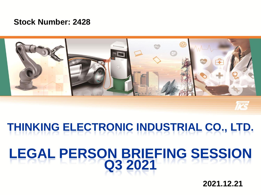#### **Stock Number: 2428**



## **THINKING ELECTRONIC INDUSTRIAL CO., LTD.**

## **LEGAL PERSON BRIEFING SESSION Q3 2021**

**2021.12.21**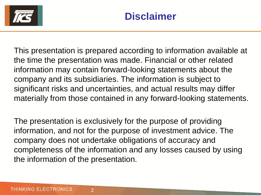

This presentation is prepared according to information available at the time the presentation was made. Financial or other related information may contain forward-looking statements about the company and its subsidiaries. The information is subject to significant risks and uncertainties, and actual results may differ materially from those contained in any forward-looking statements.

The presentation is exclusively for the purpose of providing information, and not for the purpose of investment advice. The company does not undertake obligations of accuracy and completeness of the information and any losses caused by using the information of the presentation.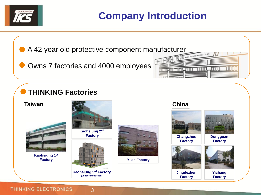

### **Company Introduction**

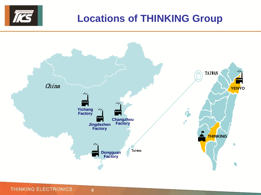

#### **Locations of THINKING Group**



**THINKING ELECTRONICS**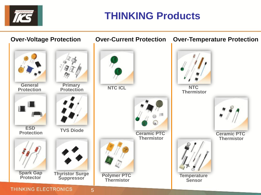

#### **THINKING Products**

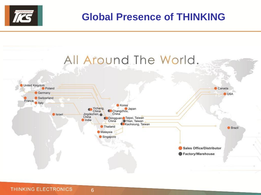

#### **Global Presence of THINKING**

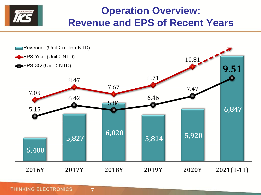#### **Operation Overview: Revenue and EPS of Recent Years**



**THINKING ELECTRONICS**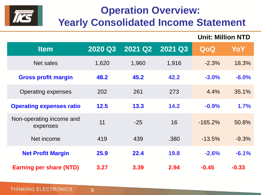

## **Operation Overview: Yearly Consolidated Income Statement**

**Unit: Million NTD**

| <b>Item</b>                          | 2020 Q3 | 2021 Q2 | 2021 Q3 | QoQ        | YoY     |
|--------------------------------------|---------|---------|---------|------------|---------|
| Net sales                            | 1,620   | 1,960   | 1,916   | $-2.3%$    | 18.3%   |
| <b>Gross profit margin</b>           | 48.2    | 45.2    | 42.2    | $-3.0%$    | $-6.0%$ |
| <b>Operating expenses</b>            | 202     | 261     | 273     | 4.4%       | 35.1%   |
| <b>Operating expenses ratio</b>      | 12.5    | 13.3    | 14.2    | $-0.9%$    | 1.7%    |
| Non-operating income and<br>expenses | 11      | $-25$   | 16      | $-165.2\%$ | 50.8%   |
| Net income                           | 419     | 439     | .380    | $-13.5%$   | $-9.3%$ |
| <b>Net Profit Margin</b>             | 25.9    | 22.4    | 19.8    | $-2.6%$    | $-6.1%$ |
| <b>Earning per share (NTD)</b>       | 3.27    | 3.39    | 2.94    | $-0.45$    | $-0.33$ |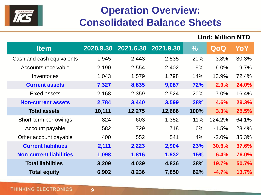

### **Operation Overview: Consolidated Balance Sheets**

**Unit: Million NTD**

| <b>Item</b>                    | 2020.9.30 | 2021.6.30 2021.9.30 |        | $\frac{0}{0}$ | QoQ          | YoY   |
|--------------------------------|-----------|---------------------|--------|---------------|--------------|-------|
| Cash and cash equivalents      | 1,945     | 2,443               | 2,535  | 20%           | 3.8%         | 30.3% |
| Accounts receivable            | 2,190     | 2,554               | 2,402  | 19%           | $-6.0\%$     | 9.7%  |
| Inventories                    | 1,043     | 1,579               | 1,798  | 14%           | 13.9%        | 72.4% |
| <b>Current assets</b>          | 7,327     | 8,835               | 9,087  | 72%           | 2.9%         | 24.0% |
| <b>Fixed assets</b>            | 2,168     | 2,359               | 2,524  | 20%           | 7.0%         | 16.4% |
| <b>Non-current assets</b>      | 2,784     | 3,440               | 3,599  | <b>28%</b>    | 4.6%         | 29.3% |
| <b>Total assets</b>            | 10,111    | 12,275              | 12,686 | 100%          | 3.3%         | 25.5% |
| Short-term borrowings          | 824       | 603                 | 1,352  | 11%           | 124.2%       | 64.1% |
| Account payable                | 582       | 729                 | 718    | 6%            | $-1.5%$      | 23.4% |
| Other account payable          | 400       | 552                 | 541    | 4%            | $-2.0%$      | 35.3% |
| <b>Current liabilities</b>     | 2,111     | 2,223               | 2,904  | <b>23%</b>    | <b>30.6%</b> | 37.6% |
| <b>Non-current liabilities</b> | 1,098     | 1,816               | 1,932  | 15%           | 6.4%         | 76.0% |
| <b>Total liabilities</b>       | 3,209     | 4,039               | 4,836  | 38%           | 19.7%        | 50.7% |
| <b>Total equity</b>            | 6,902     | 8,236               | 7,850  | 62%           | $-4.7%$      | 13.7% |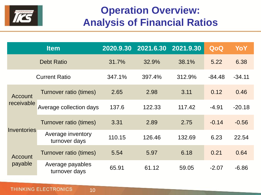

### **Operation Overview: Analysis of Financial Ratios**

|                       | <b>Item</b>                        | 2020.9.30 | 2021.6.30 | 2021.9.30 | QoQ      | YoY      |
|-----------------------|------------------------------------|-----------|-----------|-----------|----------|----------|
|                       | <b>Debt Ratio</b>                  | 31.7%     | 32.9%     | 38.1%     | 5.22     | 6.38     |
|                       | <b>Current Ratio</b>               | 347.1%    | 397.4%    | 312.9%    | $-84.48$ | $-34.11$ |
| Account<br>receivable | Turnover ratio (times)             | 2.65      | 2.98      | 3.11      | 0.12     | 0.46     |
|                       | Average collection days            | 137.6     | 122.33    | 117.42    | $-4.91$  | $-20.18$ |
| Inventories           | Turnover ratio (times)             | 3.31      | 2.89      | 2.75      | $-0.14$  | $-0.56$  |
|                       | Average inventory<br>turnover days | 110.15    | 126.46    | 132.69    | 6.23     | 22.54    |
| Account<br>payable    | Turnover ratio (times)             | 5.54      | 5.97      | 6.18      | 0.21     | 0.64     |
|                       | Average payables<br>turnover days  | 65.91     | 61.12     | 59.05     | $-2.07$  | $-6.86$  |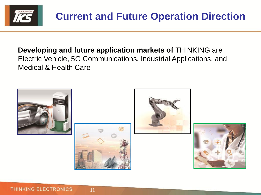

#### **Developing and future application markets of** THINKING are Electric Vehicle, 5G Communications, Industrial Applications, and Medical & Health Care







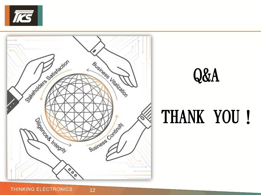



## Q&A

# THANK YOU!

**THINKING ELECTRONICS**